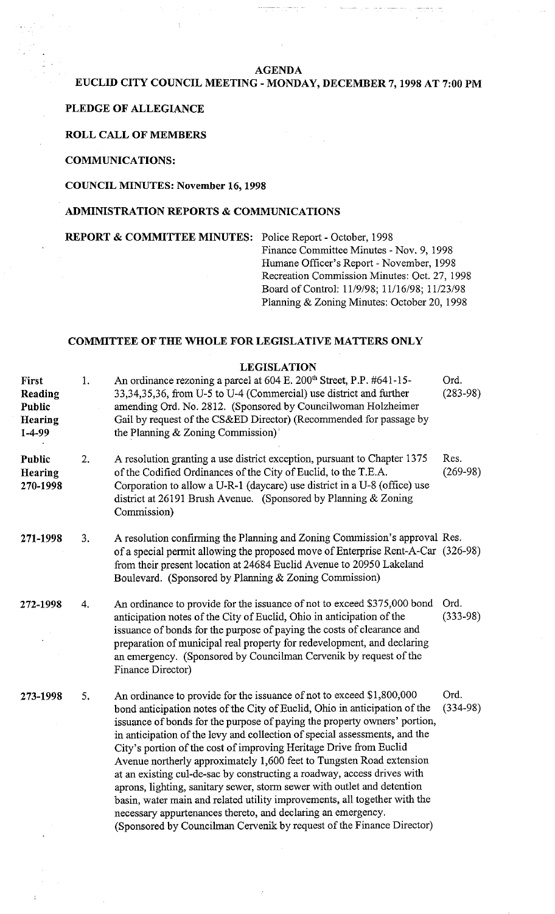#### **AGENDA**

## **EUCLID CITY COUNCIL MEETING** - **MONDAY, DECEMBER 7,1998 AT 7:00 PM**

#### **PLEDGE OF ALLEGIANCE**

#### **ROLL CALL OF MEMBERS**

**COMMUNICATIONS:** 

#### **COUNCIL MINUTES:** November **16,1998**

### **ADMINISTRATION REPORTS** & **COMMUNICATIONS**

**REPORT** & **COMMITTEE MINUTES:** Police Report - October, 1998

Finance Committee Minutes - Nov. 9, 1998 Humane Officer's Report - November, 1998 Recreation Commission Minutes: Oct. 27, 1998 Board of Control: 11/9/98; 11/16/98; 1 1/23/98 Planning & Zoning Minutes: October 20, 1998

#### **COMMITTEE OF THE WHOLE FOR LEGISLATIVE MATTERS ONLY**

### **LEGISLATION**

| First<br>Reading<br>Public<br><b>Hearing</b><br>1-4-99 | 1. | An ordinance rezoning a parcel at 604 E. 200 <sup>th</sup> Street, P.P. #641-15-<br>33,34,35,36, from U-5 to U-4 (Commercial) use district and further<br>amending Ord. No. 2812. (Sponsored by Councilwoman Holzheimer<br>Gail by request of the CS&ED Director) (Recommended for passage by<br>the Planning & Zoning Commission)'                                                                                                                                                                                                                                                                                                                                                                                                                                                                                                      | Ord.<br>$(283-98)$ |
|--------------------------------------------------------|----|------------------------------------------------------------------------------------------------------------------------------------------------------------------------------------------------------------------------------------------------------------------------------------------------------------------------------------------------------------------------------------------------------------------------------------------------------------------------------------------------------------------------------------------------------------------------------------------------------------------------------------------------------------------------------------------------------------------------------------------------------------------------------------------------------------------------------------------|--------------------|
| Public<br>Hearing<br>270-1998                          | 2. | A resolution granting a use district exception, pursuant to Chapter 1375<br>of the Codified Ordinances of the City of Euclid, to the T.E.A.<br>Corporation to allow a U-R-1 (daycare) use district in a U-8 (office) use<br>district at 26191 Brush Avenue. (Sponsored by Planning & Zoning<br>Commission)                                                                                                                                                                                                                                                                                                                                                                                                                                                                                                                               | Res.<br>$(269-98)$ |
| 271-1998                                               | 3. | A resolution confirming the Planning and Zoning Commission's approval Res.<br>of a special permit allowing the proposed move of Enterprise Rent-A-Car (326-98)<br>from their present location at 24684 Euclid Avenue to 20950 Lakeland<br>Boulevard. (Sponsored by Planning & Zoning Commission)                                                                                                                                                                                                                                                                                                                                                                                                                                                                                                                                         |                    |
| 272-1998                                               | 4. | An ordinance to provide for the issuance of not to exceed \$375,000 bond<br>anticipation notes of the City of Euclid, Ohio in anticipation of the<br>issuance of bonds for the purpose of paying the costs of clearance and<br>preparation of municipal real property for redevelopment, and declaring<br>an emergency. (Sponsored by Councilman Cervenik by request of the<br>Finance Director)                                                                                                                                                                                                                                                                                                                                                                                                                                         | Ord.<br>$(333-98)$ |
| 273-1998                                               | 5. | An ordinance to provide for the issuance of not to exceed \$1,800,000<br>bond anticipation notes of the City of Euclid, Ohio in anticipation of the<br>issuance of bonds for the purpose of paying the property owners' portion,<br>in anticipation of the levy and collection of special assessments, and the<br>City's portion of the cost of improving Heritage Drive from Euclid<br>Avenue northerly approximately 1,600 feet to Tungsten Road extension<br>at an existing cul-de-sac by constructing a roadway, access drives with<br>aprons, lighting, sanitary sewer, storm sewer with outlet and detention<br>basin, water main and related utility improvements, all together with the<br>necessary appurtenances thereto, and declaring an emergency.<br>(Sponsored by Councilman Cervenik by request of the Finance Director) | Ord.<br>$(334-98)$ |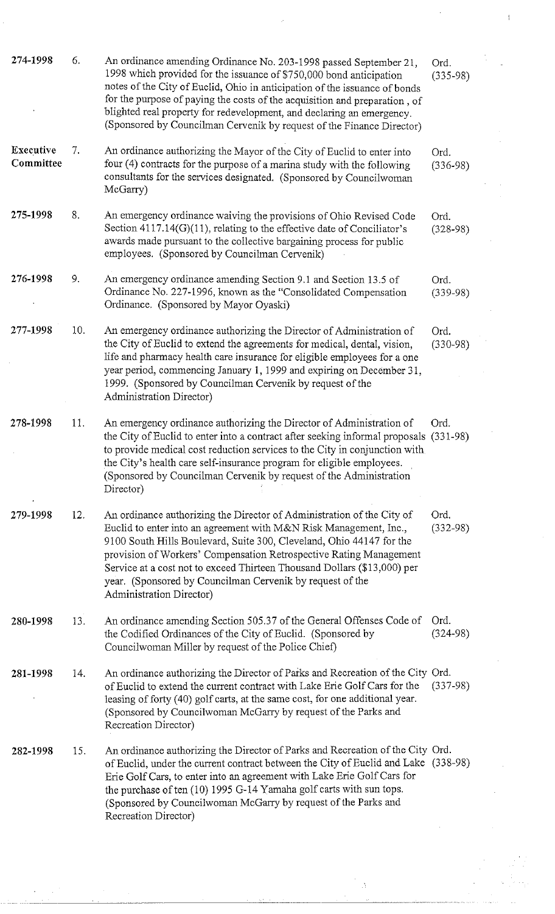| 274-1998               | 6.  | An ordinance amending Ordinance No. 203-1998 passed September 21,<br>1998 which provided for the issuance of \$750,000 bond anticipation<br>notes of the City of Euclid, Ohio in anticipation of the issuance of bonds<br>for the purpose of paying the costs of the acquisition and preparation, of<br>blighted real property for redevelopment, and declaring an emergency.<br>(Sponsored by Councilman Cervenik by request of the Finance Director)                | Ord.<br>$(335-98)$   |
|------------------------|-----|-----------------------------------------------------------------------------------------------------------------------------------------------------------------------------------------------------------------------------------------------------------------------------------------------------------------------------------------------------------------------------------------------------------------------------------------------------------------------|----------------------|
| Executive<br>Committee | 7.  | An ordinance authorizing the Mayor of the City of Euclid to enter into<br>four (4) contracts for the purpose of a marina study with the following<br>consultants for the services designated. (Sponsored by Councilwoman<br>McGarry)                                                                                                                                                                                                                                  | Ord.<br>$(336-98)$   |
| 275-1998               | 8.  | An emergency ordinance waiving the provisions of Ohio Revised Code<br>Section $4117.14(G)(11)$ , relating to the effective date of Conciliator's<br>awards made pursuant to the collective bargaining process for public<br>employees. (Sponsored by Councilman Cervenik)                                                                                                                                                                                             | Ord.<br>$(328-98)$   |
| 276-1998               | 9.  | An emergency ordinance amending Section 9.1 and Section 13.5 of<br>Ordinance No. 227-1996, known as the "Consolidated Compensation<br>Ordinance. (Sponsored by Mayor Oyaski)                                                                                                                                                                                                                                                                                          | Ord.<br>$(339-98)$   |
| 277-1998               | 10. | An emergency ordinance authorizing the Director of Administration of<br>the City of Euclid to extend the agreements for medical, dental, vision,<br>life and pharmacy health care insurance for eligible employees for a one<br>year period, commencing January 1, 1999 and expiring on December 31,<br>1999. (Sponsored by Councilman Cervenik by request of the<br>Administration Director)                                                                         | Ord.<br>$(330-98)$   |
| 278-1998               | 11. | An emergency ordinance authorizing the Director of Administration of<br>the City of Euclid to enter into a contract after seeking informal proposals (331-98)<br>to provide medical cost reduction services to the City in conjunction with<br>the City's health care self-insurance program for eligible employees.<br>(Sponsored by Councilman Cervenik by request of the Administration<br>Director)                                                               | Ord.                 |
| 279-1998               | 12. | An ordinance authorizing the Director of Administration of the City of<br>Euclid to enter into an agreement with M&N Risk Management, Inc.,<br>9100 South Hills Boulevard, Suite 300, Cleveland, Ohio 44147 for the<br>provision of Workers' Compensation Retrospective Rating Management<br>Service at a cost not to exceed Thirteen Thousand Dollars (\$13,000) per<br>year. (Sponsored by Councilman Cervenik by request of the<br><b>Administration Director)</b> | Ord.<br>$(332-98)$   |
| 280-1998               | 13. | An ordinance amending Section 505.37 of the General Offenses Code of<br>the Codified Ordinances of the City of Euclid. (Sponsored by<br>Councilwoman Miller by request of the Police Chief)                                                                                                                                                                                                                                                                           | Ord.<br>$(324 - 98)$ |
| 281-1998               | 14. | An ordinance authorizing the Director of Parks and Recreation of the City Ord.<br>of Euclid to extend the current contract with Lake Erie Golf Cars for the<br>leasing of forty (40) golf carts, at the same cost, for one additional year.<br>(Sponsored by Councilwoman McGarry by request of the Parks and<br>Recreation Director)                                                                                                                                 | $(337-98)$           |
| 282-1998               | 15. | An ordinance authorizing the Director of Parks and Recreation of the City Ord.<br>of Euclid, under the current contract between the City of Euclid and Lake (338-98)<br>Erie Golf Cars, to enter into an agreement with Lake Erie Golf Cars for<br>the purchase of ten (10) 1995 G-14 Yamaha golf carts with sun tops.<br>(Sponsored by Councilwoman McGarry by request of the Parks and<br>Recreation Director)                                                      |                      |

 $\label{eq:2} \frac{1}{2} \sum_{i=1}^n \frac{1}{2} \sum_{j=1}^n \frac{1}{2} \sum_{j=1}^n \frac{1}{2} \sum_{j=1}^n \frac{1}{2} \sum_{j=1}^n \frac{1}{2} \sum_{j=1}^n \frac{1}{2} \sum_{j=1}^n \frac{1}{2} \sum_{j=1}^n \frac{1}{2} \sum_{j=1}^n \frac{1}{2} \sum_{j=1}^n \frac{1}{2} \sum_{j=1}^n \frac{1}{2} \sum_{j=1}^n \frac{1}{2} \sum_{j=1}^n \frac{1}{$ 

 $\mathcal{L}_{\text{max}}$ 

 $\frac{1}{2}$ 

 $\frac{1}{\sqrt{2\pi}}\left(\frac{1}{\sqrt{2\pi}}\right)^{2}$ 

 $\frac{1}{\sqrt{2}}$ a<br>Santa Caracana<br>Santa Caracana (

 $\frac{1}{\sqrt{2}}$